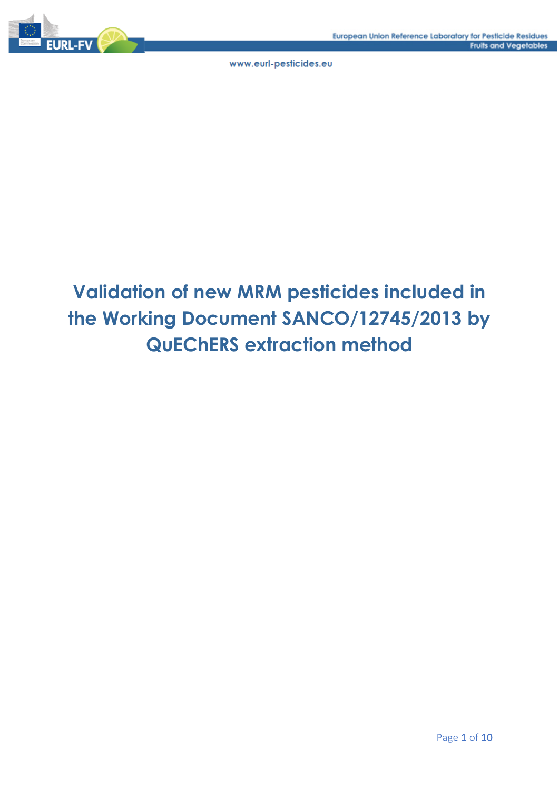

# **Validation of new MRM pesticides included in the Working Document SANCO/12745/2013 by QuEChERS extraction method**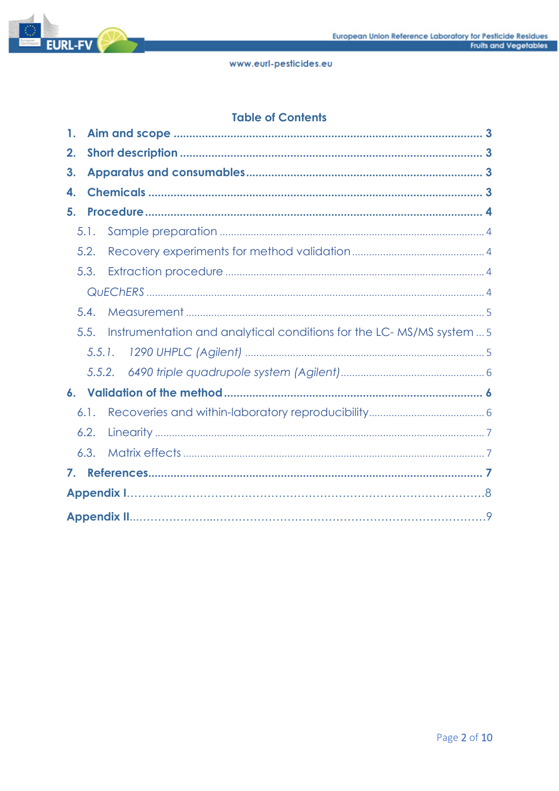

# **Table of Contents**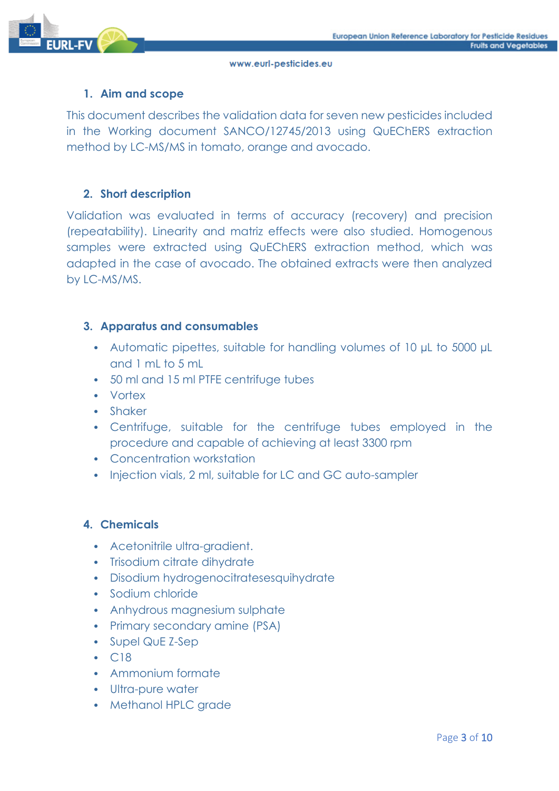

# <span id="page-2-0"></span>**1. Aim and scope**

This document describes the validation data for seven new pesticides included in the Working document SANCO/12745/2013 using QuEChERS extraction method by LC-MS/MS in tomato, orange and avocado.

# <span id="page-2-1"></span>**2. Short description**

Validation was evaluated in terms of accuracy (recovery) and precision (repeatability). Linearity and matriz effects were also studied. Homogenous samples were extracted using QuEChERS extraction method, which was adapted in the case of avocado. The obtained extracts were then analyzed by LC-MS/MS.

# <span id="page-2-2"></span>**3. Apparatus and consumables**

- Automatic pipettes, suitable for handling volumes of 10 uL to 5000 uL and 1 mL to 5 mL
- 50 ml and 15 ml PTFE centrifuge tubes
- Vortex
- Shaker
- Centrifuge, suitable for the centrifuge tubes employed in the procedure and capable of achieving at least 3300 rpm
- Concentration workstation
- Injection vials, 2 ml, suitable for LC and GC auto-sampler

# <span id="page-2-3"></span>**4. Chemicals**

- Acetonitrile ultra-gradient.
- Trisodium citrate dihydrate
- Disodium hydrogenocitratesesquihydrate
- Sodium chloride
- Anhydrous magnesium sulphate
- Primary secondary amine (PSA)
- Supel QuE Z-Sep
- C18
- Ammonium formate
- Ultra-pure water
- Methanol HPLC grade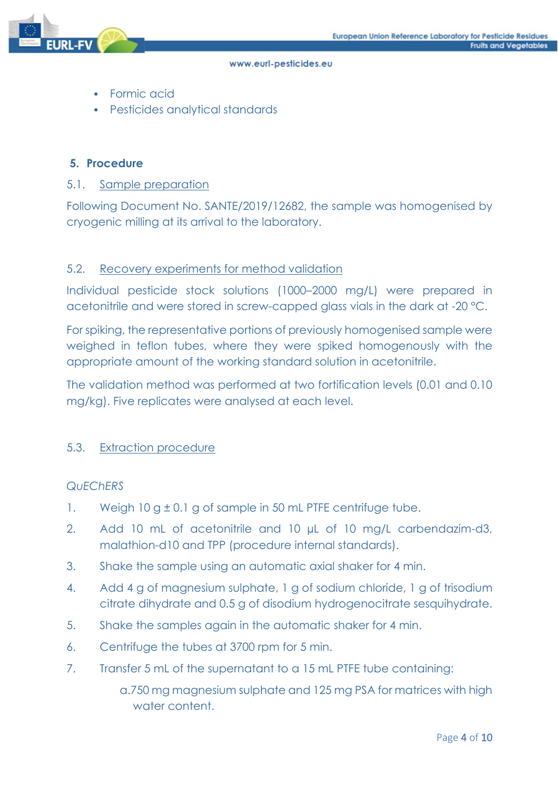

- Formic acid
- Pesticides analytical standards

## <span id="page-3-0"></span>**5. Procedure**

## <span id="page-3-1"></span>5.1. Sample preparation

Following Document No. SANTE/2019/12682, the sample was homogenised by cryogenic milling at its arrival to the laboratory.

## <span id="page-3-2"></span>5.2. Recovery experiments for method validation

Individual pesticide stock solutions (1000–2000 mg/L) were prepared in acetonitrile and were stored in screw-capped glass vials in the dark at -20 °C.

For spiking, the representative portions of previously homogenised sample were weighed in teflon tubes, where they were spiked homogenously with the appropriate amount of the working standard solution in acetonitrile.

The validation method was performed at two fortification levels (0.01 and 0.10 mg/kg). Five replicates were analysed at each level.

# <span id="page-3-3"></span>5.3. Extraction procedure

## <span id="page-3-4"></span>*QuEChERS*

- 1. Weigh  $10 g \pm 0.1 g$  of sample in 50 mL PTFE centrifuge tube.
- 2. Add 10 mL of acetonitrile and 10 uL of 10 mg/L carbendazim-d3, malathion-d10 and TPP (procedure internal standards).
- 3. Shake the sample using an automatic axial shaker for 4 min.
- 4. Add 4 g of magnesium sulphate, 1 g of sodium chloride, 1 g of trisodium citrate dihydrate and 0.5 g of disodium hydrogenocitrate sesquihydrate.
- 5. Shake the samples again in the automatic shaker for 4 min.
- 6. Centrifuge the tubes at 3700 rpm for 5 min.
- 7. Transfer 5 mL of the supernatant to a 15 mL PTFE tube containing:
	- a.750 mg magnesium sulphate and 125 mg PSA for matrices with high water content.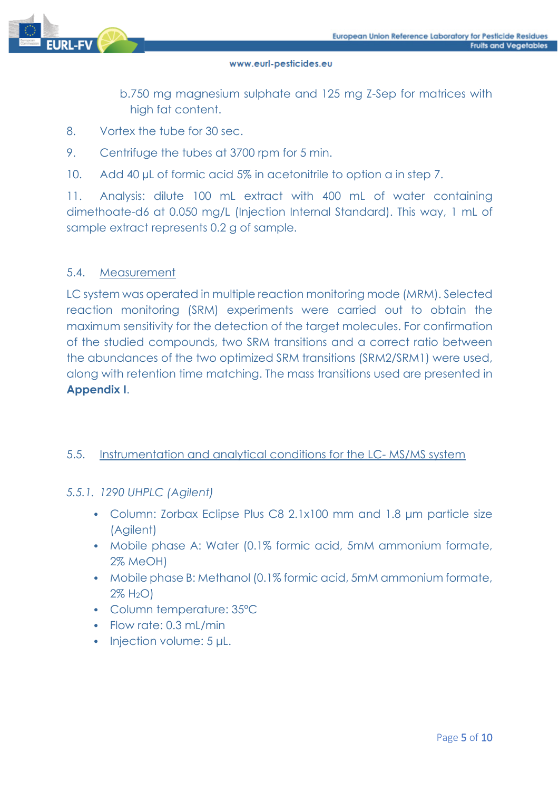

b.750 mg magnesium sulphate and 125 mg Z-Sep for matrices with high fat content.

- 8. Vortex the tube for 30 sec.
- 9. Centrifuge the tubes at 3700 rpm for 5 min.
- 10. Add 40 uL of formic acid 5% in acetonitrile to option a in step 7.

11. Analysis: dilute 100 mL extract with 400 mL of water containing dimethoate-d6 at 0.050 mg/L (Injection Internal Standard). This way, 1 mL of sample extract represents 0.2 g of sample.

# <span id="page-4-0"></span>5.4. Measurement

LC system was operated in multiple reaction monitoring mode (MRM). Selected reaction monitoring (SRM) experiments were carried out to obtain the maximum sensitivity for the detection of the target molecules. For confirmation of the studied compounds, two SRM transitions and a correct ratio between the abundances of the two optimized SRM transitions (SRM2/SRM1) were used, along with retention time matching. The mass transitions used are presented in **Appendix I**.

# <span id="page-4-1"></span>5.5. Instrumentation and analytical conditions for the LC- MS/MS system

# <span id="page-4-2"></span>*5.5.1. 1290 UHPLC (Agilent)*

- Column: Zorbax Eclipse Plus C8 2.1x100 mm and 1.8 μm particle size (Agilent)
- Mobile phase A: Water (0.1% formic acid, 5mM ammonium formate, 2% MeOH)
- Mobile phase B: Methanol (0.1% formic acid, 5mM ammonium formate,  $2\%$  H<sub>2</sub>O)
- Column temperature: 35ºC
- Flow rate: 0.3 mL/min
- Injection volume: 5 μL.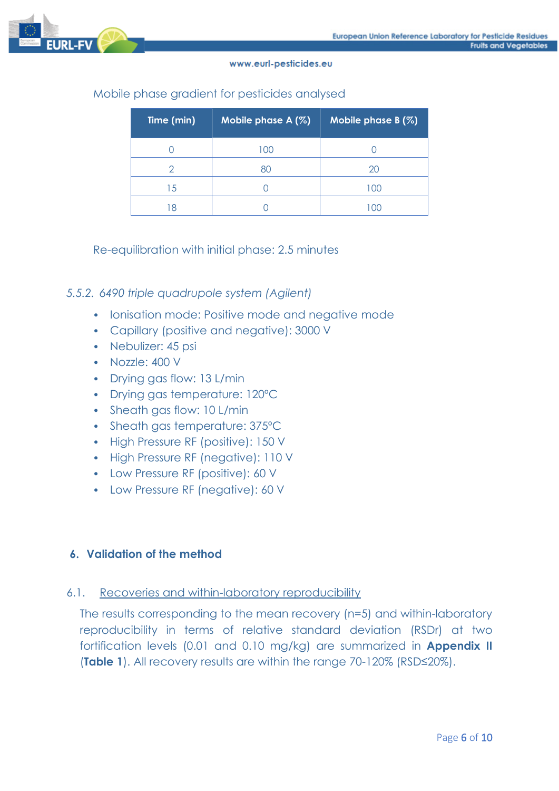

| Time (min) | Mobile phase $A(\%)$ | Mobile phase $B(\%)$ |
|------------|----------------------|----------------------|
|            | 100                  |                      |
|            | 80                   | 20                   |
| 15         |                      | 100                  |
|            |                      |                      |

## Mobile phase gradient for pesticides analysed

## Re-equilibration with initial phase: 2.5 minutes

## <span id="page-5-0"></span>*5.5.2. 6490 triple quadrupole system (Agilent)*

- Ionisation mode: Positive mode and negative mode
- Capillary (positive and negative): 3000 V
- Nebulizer: 45 psi
- Nozzle: 400 V
- Drying gas flow: 13 L/min
- Drying gas temperature: 120ºC
- Sheath gas flow: 10 L/min
- Sheath gas temperature: 375°C
- High Pressure RF (positive): 150 V
- High Pressure RF (negative): 110 V
- Low Pressure RF (positive): 60 V
- Low Pressure RF (negative): 60 V

## <span id="page-5-1"></span>**6. Validation of the method**

### <span id="page-5-2"></span>6.1. Recoveries and within-laboratory reproducibility

The results corresponding to the mean recovery (n=5) and within-laboratory reproducibility in terms of relative standard deviation (RSDr) at two fortification levels (0.01 and 0.10 mg/kg) are summarized in **Appendix II** (**Table 1**). All recovery results are within the range 70-120% (RSD≤20%).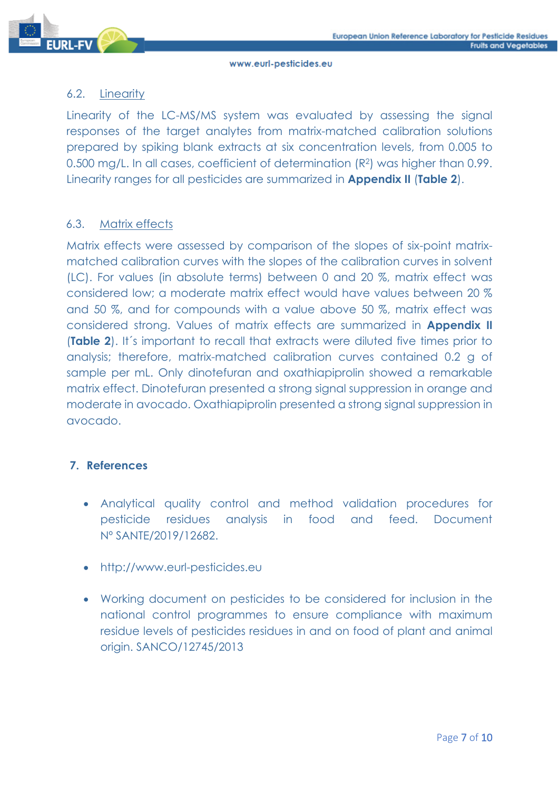

# <span id="page-6-0"></span>6.2. Linearity

Linearity of the LC-MS/MS system was evaluated by assessing the signal responses of the target analytes from matrix-matched calibration solutions prepared by spiking blank extracts at six concentration levels, from 0.005 to 0.500 mg/L. In all cases, coefficient of determination (R2) was higher than 0.99. Linearity ranges for all pesticides are summarized in **Appendix II** (**Table 2**).

# <span id="page-6-1"></span>6.3. Matrix effects

Matrix effects were assessed by comparison of the slopes of six-point matrixmatched calibration curves with the slopes of the calibration curves in solvent (LC). For values (in absolute terms) between 0 and 20 %, matrix effect was considered low; a moderate matrix effect would have values between 20 % and 50 %, and for compounds with a value above 50 %, matrix effect was considered strong. Values of matrix effects are summarized in **Appendix II** (**Table 2**). It´s important to recall that extracts were diluted five times prior to analysis; therefore, matrix-matched calibration curves contained 0.2 g of sample per mL. Only dinotefuran and oxathiapiprolin showed a remarkable matrix effect. Dinotefuran presented a strong signal suppression in orange and moderate in avocado. Oxathiapiprolin presented a strong signal suppression in avocado.

# <span id="page-6-2"></span>**7. References**

- Analytical quality control and method validation procedures for pesticide residues analysis in food and feed. Document Nº SANTE/2019/12682.
- http://www.eurl-pesticides.eu
- Working document on pesticides to be considered for inclusion in the national control programmes to ensure compliance with maximum residue levels of pesticides residues in and on food of plant and animal origin. SANCO/12745/2013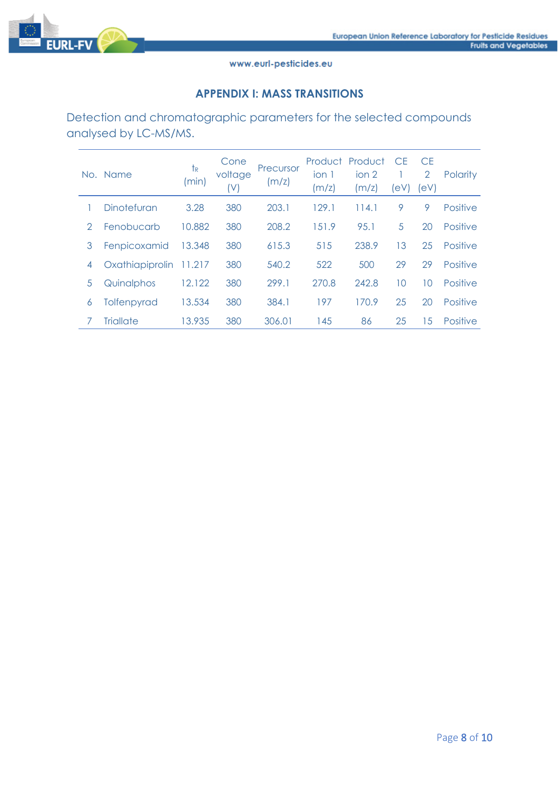

## **APPENDIX I: MASS TRANSITIONS**

Detection and chromatographic parameters for the selected compounds analysed by LC-MS/MS.

|               | No. Name           | $\dagger$ R<br>(min) | Cone<br>voltage<br>(V) | Precursor<br>(m/z) | ion 1<br>(m/z) | Product Product<br>ion 2<br>(m/z) | <b>CE</b><br>(eV) | CF.<br>2<br>eV) | <b>Polarity</b> |
|---------------|--------------------|----------------------|------------------------|--------------------|----------------|-----------------------------------|-------------------|-----------------|-----------------|
|               | Dinotefuran        | 3.28                 | 380                    | 203.1              | 129.1          | 114.1                             | 9                 | 9               | <b>Positive</b> |
| $\mathcal{P}$ | Fenobucarb         | 10.882               | 380                    | 208.2              | 151.9          | 95.1                              | 5                 | 20              | Positive        |
| 3             | Fenpicoxamid       | 13.348               | 380                    | 615.3              | 515            | 238.9                             | 13                | 25              | Positive        |
| 4             | Oxathiapiprolin    | 11.217               | 380                    | 540.2              | 522            | 500                               | 29                | 29              | Positive        |
| 5             | Quinalphos         | 12.122               | 380                    | 299.1              | 270.8          | 242.8                             | 10                | 10              | <b>Positive</b> |
| 6             | <b>Tolfenpyrad</b> | 13.534               | 380                    | 384.1              | 197            | 170.9                             | 25                | 20              | Positive        |
|               | <b>Triallate</b>   | 13.935               | 380                    | 306.01             | 145            | 86                                | 25                | 15              | <b>Positive</b> |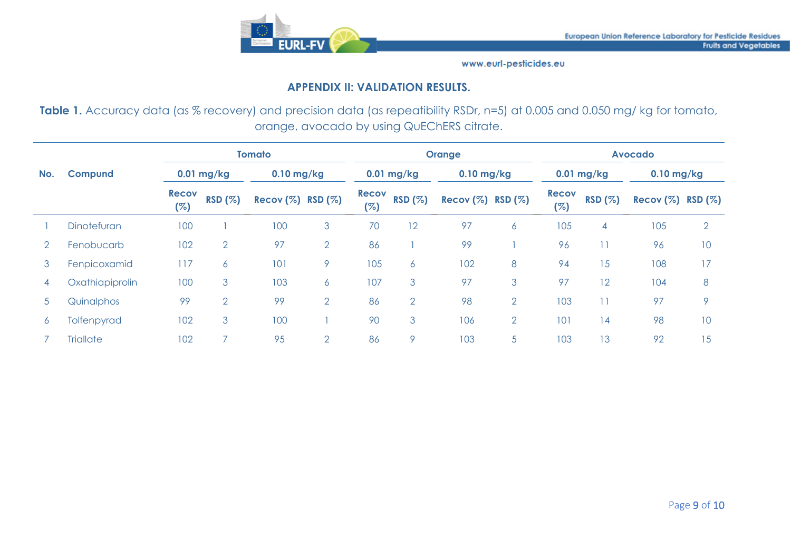

# **APPENDIX II: VALIDATION RESULTS.**

Table 1. Accuracy data (as % recovery) and precision data (as repeatibility RSDr, n=5) at 0.005 and 0.050 mg/ kg for tomato, orange, avocado by using QuEChERS citrate.

|                |                   | Tomato              |                |                   |                | <b>Orange</b>       |                |                         |                | <b>Avocado</b>      |        |                         |                |
|----------------|-------------------|---------------------|----------------|-------------------|----------------|---------------------|----------------|-------------------------|----------------|---------------------|--------|-------------------------|----------------|
| No.            | <b>Compund</b>    | $0.01$ mg/kg        |                | $0.10$ mg/kg      |                | $0.01$ mg/kg        |                | $0.10$ mg/kg            |                | $0.01$ mg/kg        |        | $0.10$ mg/kg            |                |
|                |                   | <b>Recov</b><br>(%) | <b>RSD (%)</b> | Recov (%) RSD (%) |                | <b>Recov</b><br>(%) | RSD(%)         | Recov $(\%)$ RSD $(\%)$ |                | <b>Recov</b><br>(%) | RSD(%) | Recov $(\%)$ RSD $(\%)$ |                |
|                | Dinotefuran       | 100                 |                | 100               | 3              | 70                  | 12             | 97                      | 6              | 105                 | 4      | 105                     | $\overline{2}$ |
| $\overline{2}$ | Fenobucarb        | 102                 | $\overline{2}$ | 97                | $\overline{2}$ | 86                  |                | 99                      |                | 96                  | 11     | 96                      | 10             |
| 3              | Fenpicoxamid      | 117                 | $\circ$        | 101               | 9              | 105                 | 6              | 102                     | 8              | 94                  | 15     | 108                     | 17             |
| 4              | Oxathiapiprolin   | 100                 | 3              | 103               | 6              | 107                 | 3              | 97                      | 3              | 97                  | 12     | 104                     | 8              |
| 5              | <b>Quinalphos</b> | 99                  | $\overline{2}$ | 99                | $\overline{2}$ | 86                  | $\overline{2}$ | 98                      | $\overline{2}$ | 103                 | 11     | 97                      | 9              |
| 6              | Tolfenpyrad       | 102                 | 3              | 100               |                | 90                  | 3              | 106                     | $\overline{2}$ | 101                 | 14     | 98                      | 10             |
|                | <b>Triallate</b>  | 102                 |                | 95                | $\overline{2}$ | 86                  | 9              | 103                     | 5              | 103                 | 13     | 92                      | 15             |